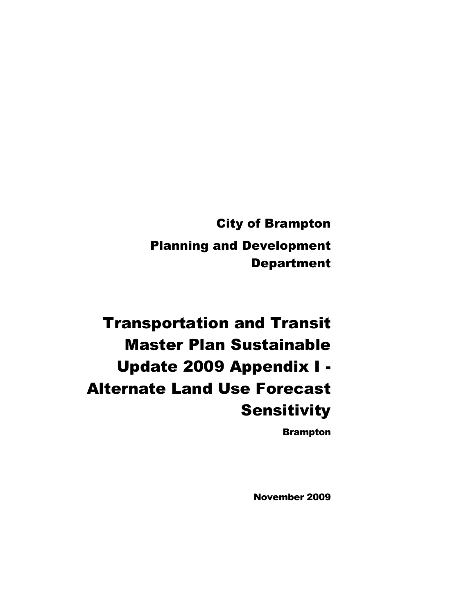**City of Brampton Planning and Development Department** 

**Transportation and Transit Master Plan Sustainable Update 2009 Appendix I -Alternate Land Use Forecast Sensitivity** 

**Brampton** 

**November 2009**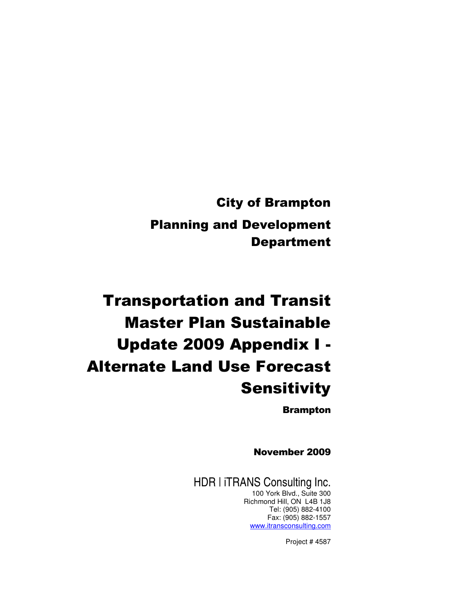**City of Brampton Planning and Development Department** 

# **Transportation and Transit Master Plan Sustainable** Update 2009 Appendix I -**Alternate Land Use Forecast Sensitivity**

**Brampton** 

**November 2009** 

HDR | iTRANS Consulting Inc. 100 York Blvd., Suite 300 Richmond Hill, ON L4B 1J8 Tel: (905) 882-4100 Fax: (905) 882-1557 www.itransconsulting.com

Project # 4587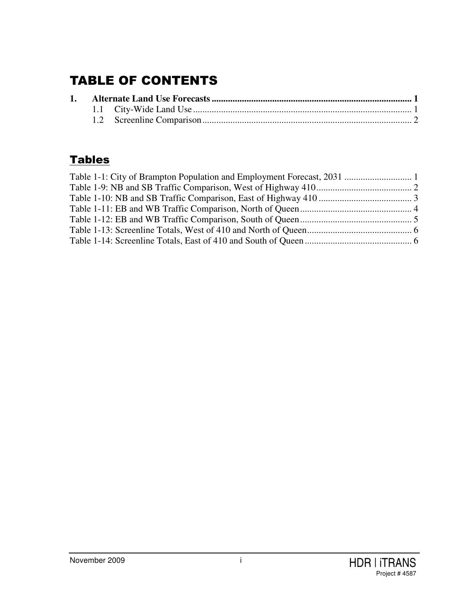## TABLE OF CONTENTS

## <u>Tables</u>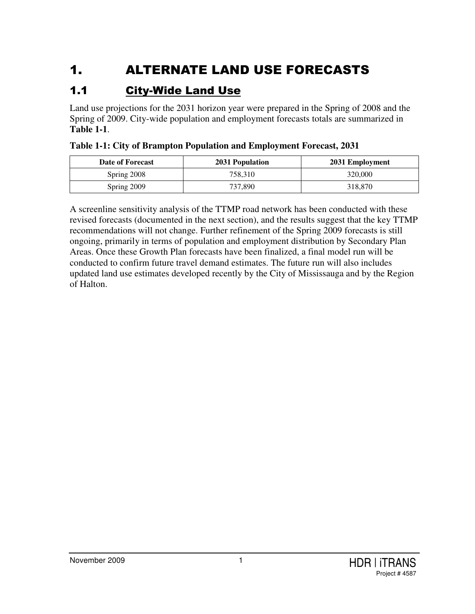## 1. ALTERNATE LAND USE FORECASTS

#### $1.1$ <u>ity-Wide Land Use</u>

Land use projections for the 2031 horizon year were prepared in the Spring of 2008 and the Spring of 2009. City-wide population and employment forecasts totals are summarized in **Table 1-1**.

| Date of Forecast | 2031 Population | 2031 Employment |
|------------------|-----------------|-----------------|
| Spring 2008      | 758.310         | 320,000         |
| Spring 2009      | 737.890         | 318,870         |

**Table 1-1: City of Brampton Population and Employment Forecast, 2031**

A screenline sensitivity analysis of the TTMP road network has been conducted with these revised forecasts (documented in the next section), and the results suggest that the key TTMP recommendations will not change. Further refinement of the Spring 2009 forecasts is still ongoing, primarily in terms of population and employment distribution by Secondary Plan Areas. Once these Growth Plan forecasts have been finalized, a final model run will be conducted to confirm future travel demand estimates. The future run will also includes updated land use estimates developed recently by the City of Mississauga and by the Region of Halton.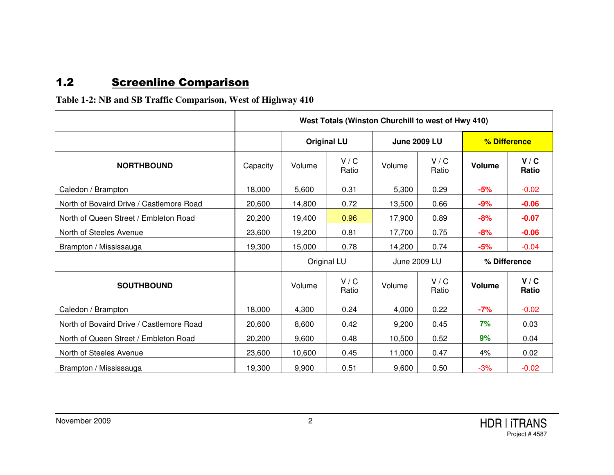#### $1.2$ 2 Screenline Comparison

### **Table 1-2: NB and SB Traffic Comparison, West of Highway 410**

|                                          | West Totals (Winston Churchill to west of Hwy 410) |        |                                           |              |                |               |                |  |  |
|------------------------------------------|----------------------------------------------------|--------|-------------------------------------------|--------------|----------------|---------------|----------------|--|--|
|                                          |                                                    |        | <b>June 2009 LU</b><br><b>Original LU</b> |              |                |               | % Difference   |  |  |
| <b>NORTHBOUND</b>                        | Capacity                                           | Volume | V / C<br>Ratio                            | Volume       | V / C<br>Ratio | <b>Volume</b> | V / C<br>Ratio |  |  |
| Caledon / Brampton                       | 18,000                                             | 5,600  | 0.31                                      | 5,300        | 0.29           | $-5%$         | $-0.02$        |  |  |
| North of Bovaird Drive / Castlemore Road | 20,600                                             | 14,800 | 0.72                                      | 13,500       | 0.66           | $-9%$         | $-0.06$        |  |  |
| North of Queen Street / Embleton Road    | 20,200                                             | 19,400 | 0.96                                      | 17,900       | 0.89           | $-8%$         | $-0.07$        |  |  |
| North of Steeles Avenue                  | 23,600                                             | 19,200 | 0.81                                      | 17,700       | 0.75           | $-8%$         | $-0.06$        |  |  |
| Brampton / Mississauga                   | 19,300                                             | 15,000 | 0.78                                      | 14,200       | 0.74           | $-5%$         | $-0.04$        |  |  |
|                                          |                                                    |        | Original LU                               | June 2009 LU |                | % Difference  |                |  |  |
| <b>SOUTHBOUND</b>                        |                                                    | Volume | V / C<br>Ratio                            | Volume       | V / C<br>Ratio | <b>Volume</b> | V/C<br>Ratio   |  |  |
| Caledon / Brampton                       | 18,000                                             | 4,300  | 0.24                                      | 4,000        | 0.22           | $-7%$         | $-0.02$        |  |  |
| North of Bovaird Drive / Castlemore Road | 20,600                                             | 8,600  | 0.42                                      | 9,200        | 0.45           | 7%            | 0.03           |  |  |
| North of Queen Street / Embleton Road    | 20,200                                             | 9,600  | 0.48                                      | 10,500       | 0.52           | 9%            | 0.04           |  |  |
| North of Steeles Avenue                  | 23,600                                             | 10,600 | 0.45                                      | 11,000       | 0.47           | 4%            | 0.02           |  |  |
| Brampton / Mississauga                   | 19,300                                             | 9,900  | 0.51                                      | 9,600        | 0.50           | $-3%$         | $-0.02$        |  |  |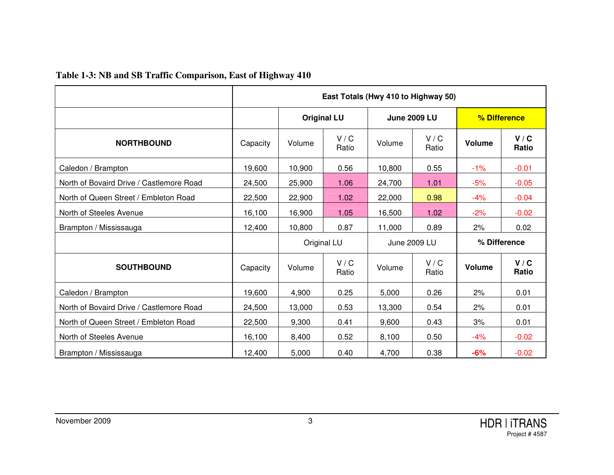|                                          | East Totals (Hwy 410 to Highway 50) |        |                                           |              |                |               |                |  |  |
|------------------------------------------|-------------------------------------|--------|-------------------------------------------|--------------|----------------|---------------|----------------|--|--|
|                                          |                                     |        | <b>Original LU</b><br><b>June 2009 LU</b> |              |                |               | % Difference   |  |  |
| <b>NORTHBOUND</b>                        | Capacity                            | Volume | V / C<br>Ratio                            | Volume       | V / C<br>Ratio | <b>Volume</b> | V/C<br>Ratio   |  |  |
| Caledon / Brampton                       | 19,600                              | 10,900 | 0.56                                      | 10,800       | 0.55           | $-1%$         | $-0.01$        |  |  |
| North of Bovaird Drive / Castlemore Road | 24,500                              | 25,900 | 1.06                                      | 24,700       | 1.01           | $-5%$         | $-0.05$        |  |  |
| North of Queen Street / Embleton Road    | 22,500                              | 22,900 | 1.02                                      | 22,000       | 0.98           | $-4%$         | $-0.04$        |  |  |
| North of Steeles Avenue                  | 16,100                              | 16,900 | 1.05                                      | 16,500       | 1.02           | $-2%$         | $-0.02$        |  |  |
| Brampton / Mississauga                   | 12,400                              | 10,800 | 0.87                                      | 11,000       | 0.89           | 2%            | 0.02           |  |  |
|                                          |                                     |        | Original LU                               | June 2009 LU |                | % Difference  |                |  |  |
| <b>SOUTHBOUND</b>                        | Capacity                            | Volume | V / C<br>Ratio                            | Volume       | V / C<br>Ratio | <b>Volume</b> | V / C<br>Ratio |  |  |
| Caledon / Brampton                       | 19,600                              | 4,900  | 0.25                                      | 5,000        | 0.26           | 2%            | 0.01           |  |  |
| North of Bovaird Drive / Castlemore Road | 24,500                              | 13,000 | 0.53                                      | 13,300       | 0.54           | 2%            | 0.01           |  |  |
| North of Queen Street / Embleton Road    | 22,500                              | 9,300  | 0.41                                      | 9,600        | 0.43           | 3%            | 0.01           |  |  |
| North of Steeles Avenue                  | 16,100                              | 8,400  | 0.52                                      | 8,100        | 0.50           | $-4%$         | $-0.02$        |  |  |
| Brampton / Mississauga                   | 12,400                              | 5,000  | 0.40                                      | 4,700        | 0.38           | $-6%$         | $-0.02$        |  |  |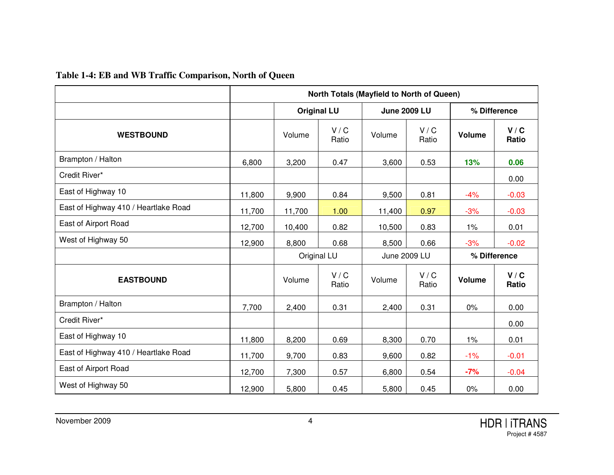## **Table 1-4: EB and WB Traffic Comparison, North of Queen**

|                                      | <b>North Totals (Mayfield to North of Queen)</b> |        |                                           |              |                |               |                |  |
|--------------------------------------|--------------------------------------------------|--------|-------------------------------------------|--------------|----------------|---------------|----------------|--|
|                                      |                                                  |        | <b>June 2009 LU</b><br><b>Original LU</b> |              |                | % Difference  |                |  |
| <b>WESTBOUND</b>                     |                                                  | Volume | V / C<br>Ratio                            | Volume       | V / C<br>Ratio | Volume        | V / C<br>Ratio |  |
| Brampton / Halton                    | 6,800                                            | 3,200  | 0.47                                      | 3,600        | 0.53           | 13%           | 0.06           |  |
| Credit River*                        |                                                  |        |                                           |              |                |               | 0.00           |  |
| East of Highway 10                   | 11,800                                           | 9,900  | 0.84                                      | 9,500        | 0.81           | $-4%$         | $-0.03$        |  |
| East of Highway 410 / Heartlake Road | 11,700                                           | 11,700 | 1.00                                      | 11,400       | 0.97           | $-3%$         | $-0.03$        |  |
| East of Airport Road                 | 12,700                                           | 10,400 | 0.82                                      | 10,500       | 0.83           | 1%            | 0.01           |  |
| West of Highway 50                   | 12,900                                           | 8,800  | 0.68                                      | 8,500        | 0.66           | $-3%$         | $-0.02$        |  |
|                                      |                                                  |        | Original LU                               | June 2009 LU |                | % Difference  |                |  |
| <b>EASTBOUND</b>                     |                                                  | Volume | V / C<br>Ratio                            | Volume       | V / C<br>Ratio | <b>Volume</b> | V / C<br>Ratio |  |
| Brampton / Halton                    | 7,700                                            | 2,400  | 0.31                                      | 2,400        | 0.31           | 0%            | 0.00           |  |
| Credit River*                        |                                                  |        |                                           |              |                |               | 0.00           |  |
| East of Highway 10                   | 11,800                                           | 8,200  | 0.69                                      | 8,300        | 0.70           | $1\%$         | 0.01           |  |
| East of Highway 410 / Heartlake Road | 11,700                                           | 9,700  | 0.83                                      | 9,600        | 0.82           | $-1%$         | $-0.01$        |  |
| East of Airport Road                 | 12,700                                           | 7,300  | 0.57                                      | 6,800        | 0.54           | $-7%$         | $-0.04$        |  |
| West of Highway 50                   | 12,900                                           | 5,800  | 0.45                                      | 5,800        | 0.45           | 0%            | 0.00           |  |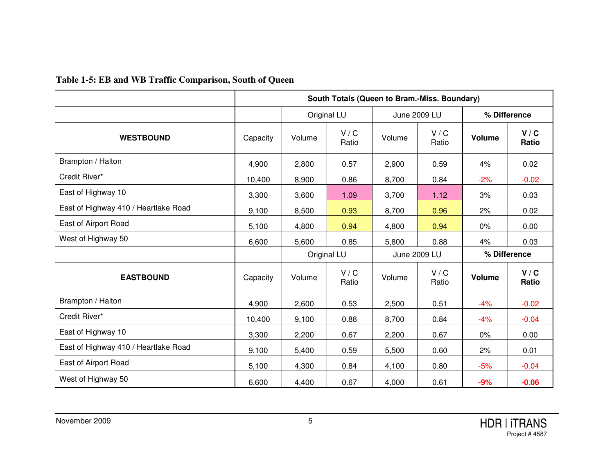| Table 1-5: EB and WB Traffic Comparison, South of Queen |  |
|---------------------------------------------------------|--|
|---------------------------------------------------------|--|

|                                      | South Totals (Queen to Bram.-Miss. Boundary) |        |                             |              |                |               |                |  |
|--------------------------------------|----------------------------------------------|--------|-----------------------------|--------------|----------------|---------------|----------------|--|
|                                      |                                              |        | Original LU<br>June 2009 LU |              |                |               | % Difference   |  |
| <b>WESTBOUND</b>                     | Capacity                                     | Volume | V / C<br>Ratio              | Volume       | V / C<br>Ratio | <b>Volume</b> | V/C<br>Ratio   |  |
| Brampton / Halton                    | 4,900                                        | 2,800  | 0.57                        | 2,900        | 0.59           | 4%            | 0.02           |  |
| Credit River*                        | 10,400                                       | 8,900  | 0.86                        | 8,700        | 0.84           | $-2%$         | $-0.02$        |  |
| East of Highway 10                   | 3,300                                        | 3,600  | 1.09                        | 3,700        | 1.12           | 3%            | 0.03           |  |
| East of Highway 410 / Heartlake Road | 9,100                                        | 8,500  | 0.93                        | 8,700        | 0.96           | 2%            | 0.02           |  |
| East of Airport Road                 | 5,100                                        | 4,800  | 0.94                        | 4,800        | 0.94           | $0\%$         | 0.00           |  |
| West of Highway 50                   | 6,600                                        | 5,600  | 0.85                        | 5,800        | 0.88           | 4%            | 0.03           |  |
|                                      |                                              |        | Original LU                 | June 2009 LU |                | % Difference  |                |  |
| <b>EASTBOUND</b>                     | Capacity                                     | Volume | V / C<br>Ratio              | Volume       | V / C<br>Ratio | <b>Volume</b> | V / C<br>Ratio |  |
| Brampton / Halton                    | 4,900                                        | 2,600  | 0.53                        | 2,500        | 0.51           | $-4%$         | $-0.02$        |  |
| Credit River*                        | 10,400                                       | 9,100  | 0.88                        | 8,700        | 0.84           | $-4%$         | $-0.04$        |  |
| East of Highway 10                   | 3,300                                        | 2,200  | 0.67                        | 2,200        | 0.67           | 0%            | 0.00           |  |
| East of Highway 410 / Heartlake Road | 9,100                                        | 5,400  | 0.59                        | 5,500        | 0.60           | 2%            | 0.01           |  |
| East of Airport Road                 | 5,100                                        | 4,300  | 0.84                        | 4,100        | 0.80           | $-5%$         | $-0.04$        |  |
| West of Highway 50                   | 6,600                                        | 4,400  | 0.67                        | 4,000        | 0.61           | $-9%$         | $-0.06$        |  |